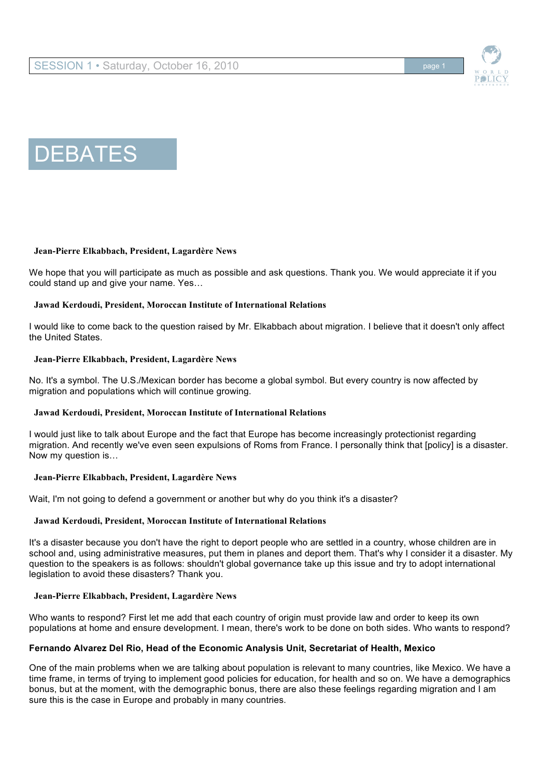



### **Jean-Pierre Elkabbach, President, Lagardère News**

We hope that you will participate as much as possible and ask questions. Thank you. We would appreciate it if you could stand up and give your name. Yes…

#### **Jawad Kerdoudi, President, Moroccan Institute of International Relations**

I would like to come back to the question raised by Mr. Elkabbach about migration. I believe that it doesn't only affect the United States.

#### **Jean-Pierre Elkabbach, President, Lagardère News**

No. It's a symbol. The U.S./Mexican border has become a global symbol. But every country is now affected by migration and populations which will continue growing.

#### **Jawad Kerdoudi, President, Moroccan Institute of International Relations**

I would just like to talk about Europe and the fact that Europe has become increasingly protectionist regarding migration. And recently we've even seen expulsions of Roms from France. I personally think that [policy] is a disaster. Now my question is…

#### **Jean-Pierre Elkabbach, President, Lagardère News**

Wait, I'm not going to defend a government or another but why do you think it's a disaster?

### **Jawad Kerdoudi, President, Moroccan Institute of International Relations**

It's a disaster because you don't have the right to deport people who are settled in a country, whose children are in school and, using administrative measures, put them in planes and deport them. That's why I consider it a disaster. My question to the speakers is as follows: shouldn't global governance take up this issue and try to adopt international legislation to avoid these disasters? Thank you.

### **Jean-Pierre Elkabbach, President, Lagardère News**

Who wants to respond? First let me add that each country of origin must provide law and order to keep its own populations at home and ensure development. I mean, there's work to be done on both sides. Who wants to respond?

### **Fernando Alvarez Del Rio, Head of the Economic Analysis Unit, Secretariat of Health, Mexico**

One of the main problems when we are talking about population is relevant to many countries, like Mexico. We have a time frame, in terms of trying to implement good policies for education, for health and so on. We have a demographics bonus, but at the moment, with the demographic bonus, there are also these feelings regarding migration and I am sure this is the case in Europe and probably in many countries.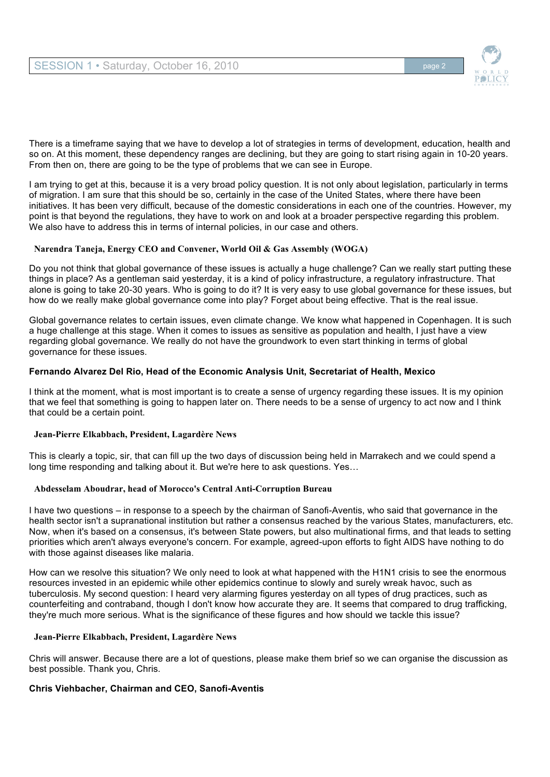

There is a timeframe saying that we have to develop a lot of strategies in terms of development, education, health and so on. At this moment, these dependency ranges are declining, but they are going to start rising again in 10-20 years. From then on, there are going to be the type of problems that we can see in Europe.

I am trying to get at this, because it is a very broad policy question. It is not only about legislation, particularly in terms of migration. I am sure that this should be so, certainly in the case of the United States, where there have been initiatives. It has been very difficult, because of the domestic considerations in each one of the countries. However, my point is that beyond the regulations, they have to work on and look at a broader perspective regarding this problem. We also have to address this in terms of internal policies, in our case and others.

### **Narendra Taneja, Energy CEO and Convener, World Oil & Gas Assembly (WOGA)**

Do you not think that global governance of these issues is actually a huge challenge? Can we really start putting these things in place? As a gentleman said yesterday, it is a kind of policy infrastructure, a regulatory infrastructure. That alone is going to take 20-30 years. Who is going to do it? It is very easy to use global governance for these issues, but how do we really make global governance come into play? Forget about being effective. That is the real issue.

Global governance relates to certain issues, even climate change. We know what happened in Copenhagen. It is such a huge challenge at this stage. When it comes to issues as sensitive as population and health, I just have a view regarding global governance. We really do not have the groundwork to even start thinking in terms of global governance for these issues.

# **Fernando Alvarez Del Rio, Head of the Economic Analysis Unit, Secretariat of Health, Mexico**

I think at the moment, what is most important is to create a sense of urgency regarding these issues. It is my opinion that we feel that something is going to happen later on. There needs to be a sense of urgency to act now and I think that could be a certain point.

### **Jean-Pierre Elkabbach, President, Lagardère News**

This is clearly a topic, sir, that can fill up the two days of discussion being held in Marrakech and we could spend a long time responding and talking about it. But we're here to ask questions. Yes…

### **Abdesselam Aboudrar, head of Morocco's Central Anti-Corruption Bureau**

I have two questions – in response to a speech by the chairman of Sanofi-Aventis, who said that governance in the health sector isn't a supranational institution but rather a consensus reached by the various States, manufacturers, etc. Now, when it's based on a consensus, it's between State powers, but also multinational firms, and that leads to setting priorities which aren't always everyone's concern. For example, agreed-upon efforts to fight AIDS have nothing to do with those against diseases like malaria.

How can we resolve this situation? We only need to look at what happened with the H1N1 crisis to see the enormous resources invested in an epidemic while other epidemics continue to slowly and surely wreak havoc, such as tuberculosis. My second question: I heard very alarming figures yesterday on all types of drug practices, such as counterfeiting and contraband, though I don't know how accurate they are. It seems that compared to drug trafficking, they're much more serious. What is the significance of these figures and how should we tackle this issue?

### **Jean-Pierre Elkabbach, President, Lagardère News**

Chris will answer. Because there are a lot of questions, please make them brief so we can organise the discussion as best possible. Thank you, Chris.

# **Chris Viehbacher, Chairman and CEO, Sanofi-Aventis**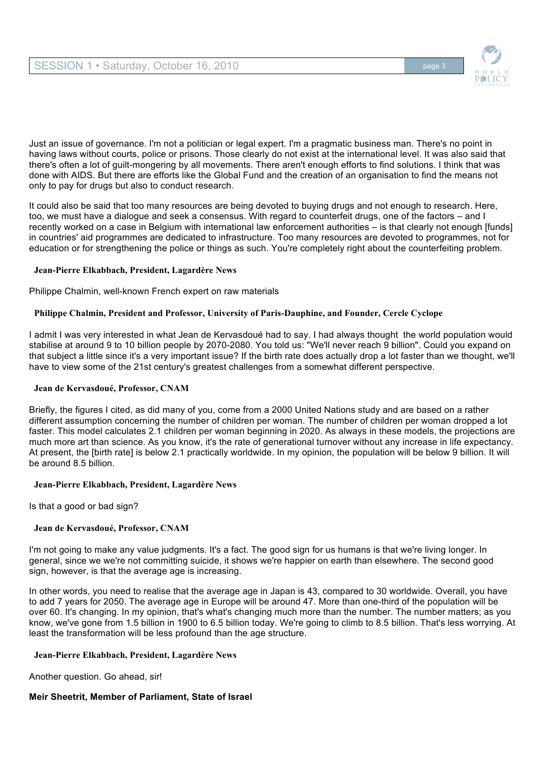

Just an issue of governance. I'm not a politician or legal expert. I'm a pragmatic business man. There's no point in having laws without courts, police or prisons. Those clearly do not exist at the international level. It was also said that there's often a lot of guilt-mongering by all movements. There aren't enough efforts to find solutions. I think that was done with AIDS. But there are efforts like the Global Fund and the creation of an organisation to find the means not only to pay for drugs but also to conduct research.

It could also be said that too many resources are being devoted to buying drugs and not enough to research. Here, too, we must have a dialogue and seek a consensus. With regard to counterfeit drugs, one of the factors – and I recently worked on a case in Belgium with international law enforcement authorities – is that clearly not enough [funds] in countries' aid programmes are dedicated to infrastructure. Too many resources are devoted to programmes, not for education or for strengthening the police or things as such. You're completely right about the counterfeiting problem.

### **Jean-Pierre Elkabbach, President, Lagardère News**

Philippe Chalmin, well-known French expert on raw materials

# **Philippe Chalmin, President and Professor, University of Paris-Dauphine, and Founder, Cercle Cyclope**

I admit I was very interested in what Jean de Kervasdoué had to say. I had always thought the world population would stabilise at around 9 to 10 billion people by 2070-2080. You told us: "We'll never reach 9 billion". Could you expand on that subject a little since it's a very important issue? If the birth rate does actually drop a lot faster than we thought, we'll have to view some of the 21st century's greatest challenges from a somewhat different perspective.

### **Jean de Kervasdoué, Professor, CNAM**

Briefly, the figures I cited, as did many of you, come from a 2000 United Nations study and are based on a rather different assumption concerning the number of children per woman. The number of children per woman dropped a lot faster. This model calculates 2.1 children per woman beginning in 2020. As always in these models, the projections are much more art than science. As you know, it's the rate of generational turnover without any increase in life expectancy. At present, the [birth rate] is below 2.1 practically worldwide. In my opinion, the population will be below 9 billion. It will be around 8.5 billion.

### **Jean-Pierre Elkabbach, President, Lagardère News**

Is that a good or bad sign?

# **Jean de Kervasdoué, Professor, CNAM**

I'm not going to make any value judgments. It's a fact. The good sign for us humans is that we're living longer. In general, since we we're not committing suicide, it shows we're happier on earth than elsewhere. The second good sign, however, is that the average age is increasing.

In other words, you need to realise that the average age in Japan is 43, compared to 30 worldwide. Overall, you have to add 7 years for 2050. The average age in Europe will be around 47. More than one-third of the population will be over 60. It's changing. In my opinion, that's what's changing much more than the number. The number matters; as you know, we've gone from 1.5 billion in 1900 to 6.5 billion today. We're going to climb to 8.5 billion. That's less worrying. At least the transformation will be less profound than the age structure.

### **Jean-Pierre Elkabbach, President, Lagardère News**

Another question. Go ahead, sir!

# **Meir Sheetrit, Member of Parliament, State of Israel**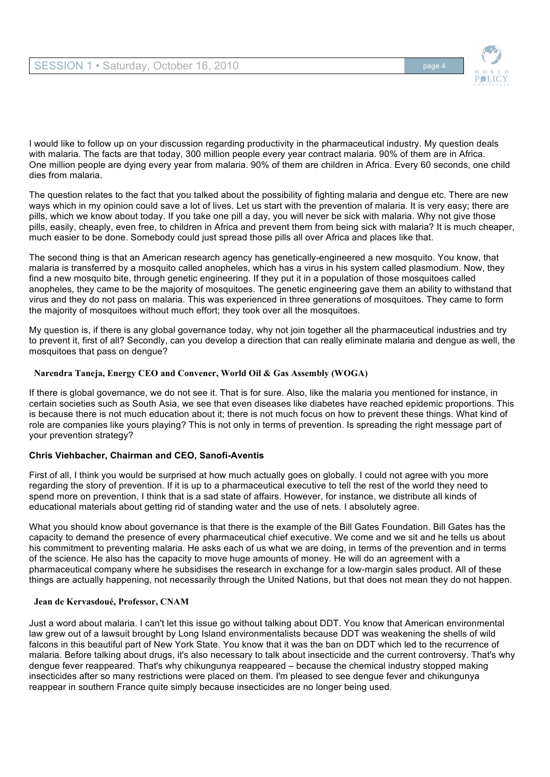

I would like to follow up on your discussion regarding productivity in the pharmaceutical industry. My question deals with malaria. The facts are that today, 300 million people every year contract malaria. 90% of them are in Africa. One million people are dying every year from malaria. 90% of them are children in Africa. Every 60 seconds, one child dies from malaria.

The question relates to the fact that you talked about the possibility of fighting malaria and dengue etc. There are new ways which in my opinion could save a lot of lives. Let us start with the prevention of malaria. It is very easy; there are pills, which we know about today. If you take one pill a day, you will never be sick with malaria. Why not give those pills, easily, cheaply, even free, to children in Africa and prevent them from being sick with malaria? It is much cheaper, much easier to be done. Somebody could just spread those pills all over Africa and places like that.

The second thing is that an American research agency has genetically-engineered a new mosquito. You know, that malaria is transferred by a mosquito called anopheles, which has a virus in his system called plasmodium. Now, they find a new mosquito bite, through genetic engineering. If they put it in a population of those mosquitoes called anopheles, they came to be the majority of mosquitoes. The genetic engineering gave them an ability to withstand that virus and they do not pass on malaria. This was experienced in three generations of mosquitoes. They came to form the majority of mosquitoes without much effort; they took over all the mosquitoes.

My question is, if there is any global governance today, why not join together all the pharmaceutical industries and try to prevent it, first of all? Secondly, can you develop a direction that can really eliminate malaria and dengue as well, the mosquitoes that pass on dengue?

# **Narendra Taneja, Energy CEO and Convener, World Oil & Gas Assembly (WOGA)**

If there is global governance, we do not see it. That is for sure. Also, like the malaria you mentioned for instance, in certain societies such as South Asia, we see that even diseases like diabetes have reached epidemic proportions. This is because there is not much education about it; there is not much focus on how to prevent these things. What kind of role are companies like yours playing? This is not only in terms of prevention. Is spreading the right message part of your prevention strategy?

# **Chris Viehbacher, Chairman and CEO, Sanofi-Aventis**

First of all, I think you would be surprised at how much actually goes on globally. I could not agree with you more regarding the story of prevention. If it is up to a pharmaceutical executive to tell the rest of the world they need to spend more on prevention, I think that is a sad state of affairs. However, for instance, we distribute all kinds of educational materials about getting rid of standing water and the use of nets. I absolutely agree.

What you should know about governance is that there is the example of the Bill Gates Foundation. Bill Gates has the capacity to demand the presence of every pharmaceutical chief executive. We come and we sit and he tells us about his commitment to preventing malaria. He asks each of us what we are doing, in terms of the prevention and in terms of the science. He also has the capacity to move huge amounts of money. He will do an agreement with a pharmaceutical company where he subsidises the research in exchange for a low-margin sales product. All of these things are actually happening, not necessarily through the United Nations, but that does not mean they do not happen.

### **Jean de Kervasdoué, Professor, CNAM**

Just a word about malaria. I can't let this issue go without talking about DDT. You know that American environmental law grew out of a lawsuit brought by Long Island environmentalists because DDT was weakening the shells of wild falcons in this beautiful part of New York State. You know that it was the ban on DDT which led to the recurrence of malaria. Before talking about drugs, it's also necessary to talk about insecticide and the current controversy. That's why dengue fever reappeared. That's why chikungunya reappeared – because the chemical industry stopped making insecticides after so many restrictions were placed on them. I'm pleased to see dengue fever and chikungunya reappear in southern France quite simply because insecticides are no longer being used.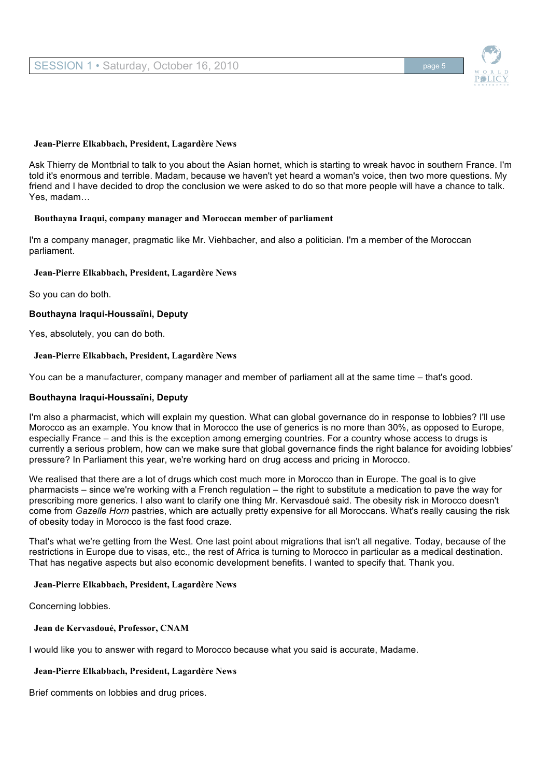

#### **Jean-Pierre Elkabbach, President, Lagardère News**

Ask Thierry de Montbrial to talk to you about the Asian hornet, which is starting to wreak havoc in southern France. I'm told it's enormous and terrible. Madam, because we haven't yet heard a woman's voice, then two more questions. My friend and I have decided to drop the conclusion we were asked to do so that more people will have a chance to talk. Yes, madam…

#### **Bouthayna Iraqui, company manager and Moroccan member of parliament**

I'm a company manager, pragmatic like Mr. Viehbacher, and also a politician. I'm a member of the Moroccan parliament.

#### **Jean-Pierre Elkabbach, President, Lagardère News**

So you can do both.

### **Bouthayna Iraqui-Houssaïni, Deputy**

Yes, absolutely, you can do both.

### **Jean-Pierre Elkabbach, President, Lagardère News**

You can be a manufacturer, company manager and member of parliament all at the same time – that's good.

### **Bouthayna Iraqui-Houssaïni, Deputy**

I'm also a pharmacist, which will explain my question. What can global governance do in response to lobbies? I'll use Morocco as an example. You know that in Morocco the use of generics is no more than 30%, as opposed to Europe, especially France – and this is the exception among emerging countries. For a country whose access to drugs is currently a serious problem, how can we make sure that global governance finds the right balance for avoiding lobbies' pressure? In Parliament this year, we're working hard on drug access and pricing in Morocco.

We realised that there are a lot of drugs which cost much more in Morocco than in Europe. The goal is to give pharmacists – since we're working with a French regulation – the right to substitute a medication to pave the way for prescribing more generics. I also want to clarify one thing Mr. Kervasdoué said. The obesity risk in Morocco doesn't come from *Gazelle Horn* pastries, which are actually pretty expensive for all Moroccans. What's really causing the risk of obesity today in Morocco is the fast food craze.

That's what we're getting from the West. One last point about migrations that isn't all negative. Today, because of the restrictions in Europe due to visas, etc., the rest of Africa is turning to Morocco in particular as a medical destination. That has negative aspects but also economic development benefits. I wanted to specify that. Thank you.

#### **Jean-Pierre Elkabbach, President, Lagardère News**

Concerning lobbies.

**Jean de Kervasdoué, Professor, CNAM**

I would like you to answer with regard to Morocco because what you said is accurate, Madame.

**Jean-Pierre Elkabbach, President, Lagardère News**

Brief comments on lobbies and drug prices.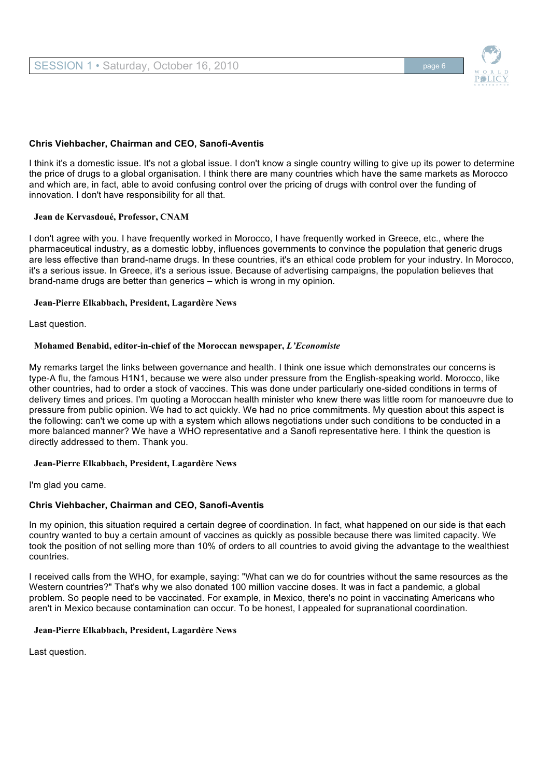

# **Chris Viehbacher, Chairman and CEO, Sanofi-Aventis**

I think it's a domestic issue. It's not a global issue. I don't know a single country willing to give up its power to determine the price of drugs to a global organisation. I think there are many countries which have the same markets as Morocco and which are, in fact, able to avoid confusing control over the pricing of drugs with control over the funding of innovation. I don't have responsibility for all that.

#### **Jean de Kervasdoué, Professor, CNAM**

I don't agree with you. I have frequently worked in Morocco, I have frequently worked in Greece, etc., where the pharmaceutical industry, as a domestic lobby, influences governments to convince the population that generic drugs are less effective than brand-name drugs. In these countries, it's an ethical code problem for your industry. In Morocco, it's a serious issue. In Greece, it's a serious issue. Because of advertising campaigns, the population believes that brand-name drugs are better than generics – which is wrong in my opinion.

#### **Jean-Pierre Elkabbach, President, Lagardère News**

Last question.

### **Mohamed Benabid, editor-in-chief of the Moroccan newspaper,** *L'Economiste*

My remarks target the links between governance and health. I think one issue which demonstrates our concerns is type-A flu, the famous H1N1, because we were also under pressure from the English-speaking world. Morocco, like other countries, had to order a stock of vaccines. This was done under particularly one-sided conditions in terms of delivery times and prices. I'm quoting a Moroccan health minister who knew there was little room for manoeuvre due to pressure from public opinion. We had to act quickly. We had no price commitments. My question about this aspect is the following: can't we come up with a system which allows negotiations under such conditions to be conducted in a more balanced manner? We have a WHO representative and a Sanofi representative here. I think the question is directly addressed to them. Thank you.

#### **Jean-Pierre Elkabbach, President, Lagardère News**

I'm glad you came.

# **Chris Viehbacher, Chairman and CEO, Sanofi-Aventis**

In my opinion, this situation required a certain degree of coordination. In fact, what happened on our side is that each country wanted to buy a certain amount of vaccines as quickly as possible because there was limited capacity. We took the position of not selling more than 10% of orders to all countries to avoid giving the advantage to the wealthiest countries.

I received calls from the WHO, for example, saying: "What can we do for countries without the same resources as the Western countries?" That's why we also donated 100 million vaccine doses. It was in fact a pandemic, a global problem. So people need to be vaccinated. For example, in Mexico, there's no point in vaccinating Americans who aren't in Mexico because contamination can occur. To be honest, I appealed for supranational coordination.

### **Jean-Pierre Elkabbach, President, Lagardère News**

Last question.